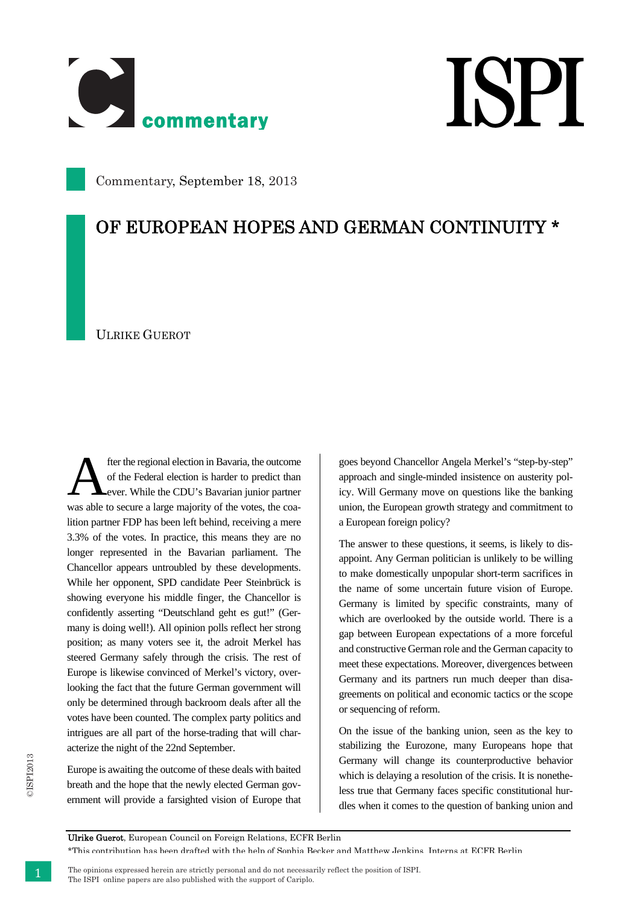

## **ISPI**

Commentary, September 18, 2013

## OF EUROPEAN HOPES AND GERMAN CONTINUITY \*

ULRIKE GUEROT

fter the regional election in Bavaria, the outcome of the Federal election is harder to predict than ever. While the CDU's Bavarian junior partner was able to secure a large majority of the votes, the coalition partner FDP has been left behind, receiving a mere 3.3% of the votes. In practice, this means they are no longer represented in the Bavarian parliament. The Chancellor appears untroubled by these developments. While her opponent, SPD candidate Peer Steinbrück is showing everyone his middle finger, the Chancellor is confidently asserting "Deutschland geht es gut!" (Germany is doing well!). All opinion polls reflect her strong position; as many voters see it, the adroit Merkel has steered Germany safely through the crisis. The rest of Europe is likewise convinced of Merkel's victory, overlooking the fact that the future German government will only be determined through backroom deals after all the votes have been counted. The complex party politics and intrigues are all part of the horse-trading that will characterize the night of the 22nd September. A

Europe is awaiting the outcome of these deals with baited breath and the hope that the newly elected German government will provide a farsighted vision of Europe that goes beyond Chancellor Angela Merkel's "step-by-step" approach and single-minded insistence on austerity policy. Will Germany move on questions like the banking union, the European growth strategy and commitment to a European foreign policy?

The answer to these questions, it seems, is likely to disappoint. Any German politician is unlikely to be willing to make domestically unpopular short-term sacrifices in the name of some uncertain future vision of Europe. Germany is limited by specific constraints, many of which are overlooked by the outside world. There is a gap between European expectations of a more forceful and constructive German role and the German capacity to meet these expectations. Moreover, divergences between Germany and its partners run much deeper than disagreements on political and economic tactics or the scope or sequencing of reform.

On the issue of the banking union, seen as the key to stabilizing the Eurozone, many Europeans hope that Germany will change its counterproductive behavior which is delaying a resolution of the crisis. It is nonetheless true that Germany faces specific constitutional hurdles when it comes to the question of banking union and

Ulrike Guerot, European Council on Foreign Relations, ECFR Berlin

\*This contribution has been drafted with the help of Sophia Becker and Matthew Jenkins Interns at ECFR Berlin

 The opinions expressed herein are strictly personal and do not necessarily reflect the position of ISPI. The ISPI online papers are also published with the support of Cariplo.